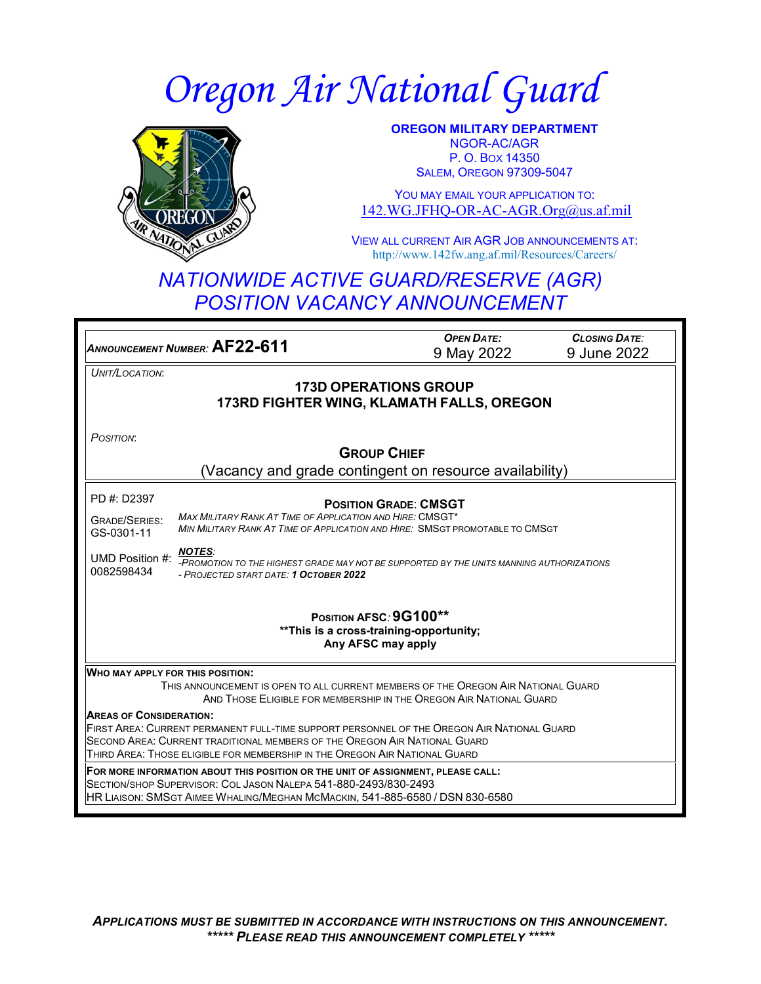# *Oregon Air National Guard*



**OREGON MILITARY DEPARTMENT** NGOR-AC/AGR P. O. BOX 14350 SALEM, OREGON 97309-5047

YOU MAY EMAIL YOUR APPLICATION TO: [142.WG.JFHQ-OR-AC-AGR.Org@us.af.mil](mailto:142.WG.JFHQ-OR-AC-AGR.Org@us.af.mil)

VIEW ALL CURRENT AIR AGR JOB ANNOUNCEMENTS AT: http://www.142fw.ang.af.mil/Resources/Careers/

# *NATIONWIDE ACTIVE GUARD/RESERVE (AGR) POSITION VACANCY ANNOUNCEMENT*

| ANNOUNCEMENT NUMBER: AF22-611                                                                                                                                            | <b>OPEN DATE:</b> | <b>CLOSING DATE:</b> |  |
|--------------------------------------------------------------------------------------------------------------------------------------------------------------------------|-------------------|----------------------|--|
|                                                                                                                                                                          | 9 May 2022        | 9 June 2022          |  |
| UNIT/LOCATION:                                                                                                                                                           |                   |                      |  |
| <b>173D OPERATIONS GROUP</b>                                                                                                                                             |                   |                      |  |
| 173RD FIGHTER WING, KLAMATH FALLS, OREGON                                                                                                                                |                   |                      |  |
|                                                                                                                                                                          |                   |                      |  |
| POSITION:                                                                                                                                                                |                   |                      |  |
| <b>GROUP CHIEF</b>                                                                                                                                                       |                   |                      |  |
| (Vacancy and grade contingent on resource availability)                                                                                                                  |                   |                      |  |
| PD #: D2397                                                                                                                                                              |                   |                      |  |
| <b>POSITION GRADE: CMSGT</b>                                                                                                                                             |                   |                      |  |
| <b>MAX MILITARY RANK AT TIME OF APPLICATION AND HIRE: CMSGT*</b><br><b>GRADE/SERIES:</b><br>MIN MILITARY RANK AT TIME OF APPLICATION AND HIRE: SMSGT PROMOTABLE TO CMSGT |                   |                      |  |
| GS-0301-11                                                                                                                                                               |                   |                      |  |
| <b>NOTES:</b><br>UMD Position #:                                                                                                                                         |                   |                      |  |
| -PROMOTION TO THE HIGHEST GRADE MAY NOT BE SUPPORTED BY THE UNITS MANNING AUTHORIZATIONS<br>0082598434<br>- PROJECTED START DATE: 1 OCTOBER 2022                         |                   |                      |  |
|                                                                                                                                                                          |                   |                      |  |
| POSITION AFSC: 9G100**                                                                                                                                                   |                   |                      |  |
| ** This is a cross-training-opportunity;                                                                                                                                 |                   |                      |  |
| Any AFSC may apply                                                                                                                                                       |                   |                      |  |
|                                                                                                                                                                          |                   |                      |  |
| <b>WHO MAY APPLY FOR THIS POSITION:</b>                                                                                                                                  |                   |                      |  |
| THIS ANNOUNCEMENT IS OPEN TO ALL CURRENT MEMBERS OF THE OREGON AIR NATIONAL GUARD<br>AND THOSE ELIGIBLE FOR MEMBERSHIP IN THE OREGON AIR NATIONAL GUARD                  |                   |                      |  |
| <b>AREAS OF CONSIDERATION:</b>                                                                                                                                           |                   |                      |  |
| FIRST AREA: CURRENT PERMANENT FULL-TIME SUPPORT PERSONNEL OF THE OREGON AIR NATIONAL GUARD                                                                               |                   |                      |  |
| SECOND AREA: CURRENT TRADITIONAL MEMBERS OF THE OREGON AIR NATIONAL GUARD                                                                                                |                   |                      |  |
| THIRD AREA: THOSE ELIGIBLE FOR MEMBERSHIP IN THE OREGON AIR NATIONAL GUARD                                                                                               |                   |                      |  |
| FOR MORE INFORMATION ABOUT THIS POSITION OR THE UNIT OF ASSIGNMENT, PLEASE CALL:                                                                                         |                   |                      |  |
| SECTION/SHOP SUPERVISOR: COL JASON NALEPA 541-880-2493/830-2493<br>HR LIAISON: SMSGT AIMEE WHALING/MEGHAN MCMACKIN, 541-885-6580 / DSN 830-6580                          |                   |                      |  |
|                                                                                                                                                                          |                   |                      |  |
|                                                                                                                                                                          |                   |                      |  |

*APPLICATIONS MUST BE SUBMITTED IN ACCORDANCE WITH INSTRUCTIONS ON THIS ANNOUNCEMENT. \*\*\*\*\* PLEASE READ THIS ANNOUNCEMENT COMPLETELY \*\*\*\*\**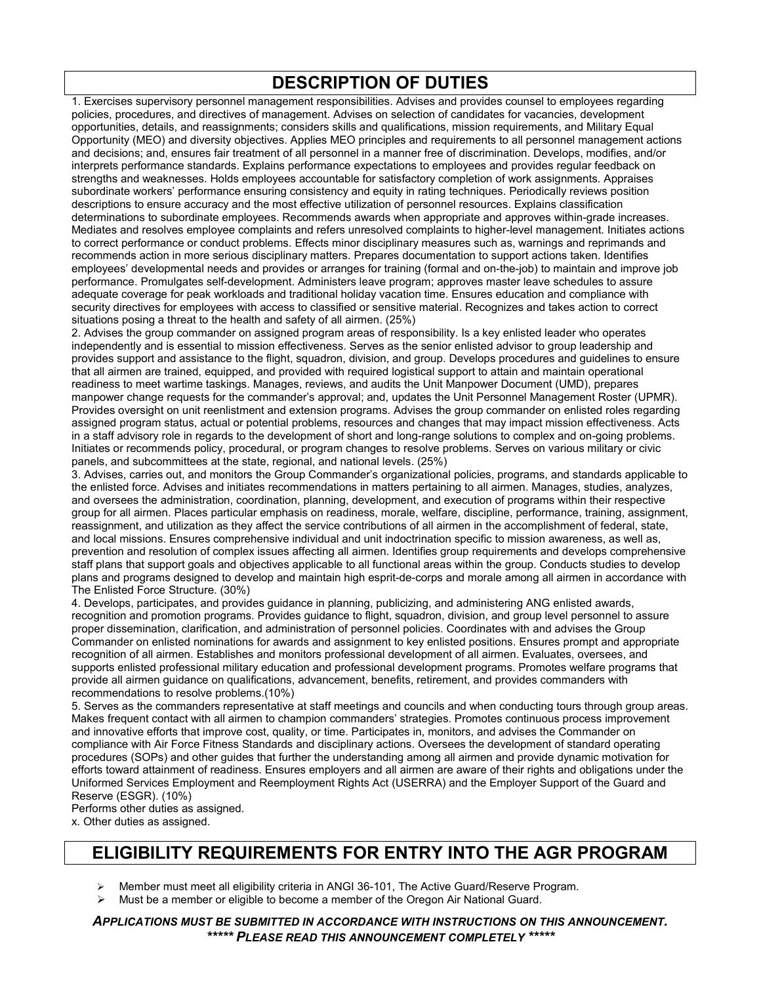## **DESCRIPTION OF DUTIES**

1. Exercises supervisory personnel management responsibilities. Advises and provides counsel to employees regarding policies, procedures, and directives of management. Advises on selection of candidates for vacancies, development opportunities, details, and reassignments; considers skills and qualifications, mission requirements, and Military Equal Opportunity (MEO) and diversity objectives. Applies MEO principles and requirements to all personnel management actions and decisions; and, ensures fair treatment of all personnel in a manner free of discrimination. Develops, modifies, and/or interprets performance standards. Explains performance expectations to employees and provides regular feedback on strengths and weaknesses. Holds employees accountable for satisfactory completion of work assignments. Appraises subordinate workers' performance ensuring consistency and equity in rating techniques. Periodically reviews position descriptions to ensure accuracy and the most effective utilization of personnel resources. Explains classification determinations to subordinate employees. Recommends awards when appropriate and approves within-grade increases. Mediates and resolves employee complaints and refers unresolved complaints to higher-level management. Initiates actions to correct performance or conduct problems. Effects minor disciplinary measures such as, warnings and reprimands and recommends action in more serious disciplinary matters. Prepares documentation to support actions taken. Identifies employees' developmental needs and provides or arranges for training (formal and on-the-job) to maintain and improve job performance. Promulgates self-development. Administers leave program; approves master leave schedules to assure adequate coverage for peak workloads and traditional holiday vacation time. Ensures education and compliance with security directives for employees with access to classified or sensitive material. Recognizes and takes action to correct situations posing a threat to the health and safety of all airmen. (25%)

2. Advises the group commander on assigned program areas of responsibility. Is a key enlisted leader who operates independently and is essential to mission effectiveness. Serves as the senior enlisted advisor to group leadership and provides support and assistance to the flight, squadron, division, and group. Develops procedures and guidelines to ensure that all airmen are trained, equipped, and provided with required logistical support to attain and maintain operational readiness to meet wartime taskings. Manages, reviews, and audits the Unit Manpower Document (UMD), prepares manpower change requests for the commander's approval; and, updates the Unit Personnel Management Roster (UPMR). Provides oversight on unit reenlistment and extension programs. Advises the group commander on enlisted roles regarding assigned program status, actual or potential problems, resources and changes that may impact mission effectiveness. Acts in a staff advisory role in regards to the development of short and long-range solutions to complex and on-going problems. Initiates or recommends policy, procedural, or program changes to resolve problems. Serves on various military or civic panels, and subcommittees at the state, regional, and national levels. (25%)

3. Advises, carries out, and monitors the Group Commander's organizational policies, programs, and standards applicable to the enlisted force. Advises and initiates recommendations in matters pertaining to all airmen. Manages, studies, analyzes, and oversees the administration, coordination, planning, development, and execution of programs within their respective group for all airmen. Places particular emphasis on readiness, morale, welfare, discipline, performance, training, assignment, reassignment, and utilization as they affect the service contributions of all airmen in the accomplishment of federal, state, and local missions. Ensures comprehensive individual and unit indoctrination specific to mission awareness, as well as, prevention and resolution of complex issues affecting all airmen. Identifies group requirements and develops comprehensive staff plans that support goals and objectives applicable to all functional areas within the group. Conducts studies to develop plans and programs designed to develop and maintain high esprit-de-corps and morale among all airmen in accordance with The Enlisted Force Structure. (30%)

4. Develops, participates, and provides guidance in planning, publicizing, and administering ANG enlisted awards, recognition and promotion programs. Provides guidance to flight, squadron, division, and group level personnel to assure proper dissemination, clarification, and administration of personnel policies. Coordinates with and advises the Group Commander on enlisted nominations for awards and assignment to key enlisted positions. Ensures prompt and appropriate recognition of all airmen. Establishes and monitors professional development of all airmen. Evaluates, oversees, and supports enlisted professional military education and professional development programs. Promotes welfare programs that provide all airmen guidance on qualifications, advancement, benefits, retirement, and provides commanders with recommendations to resolve problems.(10%)

5. Serves as the commanders representative at staff meetings and councils and when conducting tours through group areas. Makes frequent contact with all airmen to champion commanders' strategies. Promotes continuous process improvement and innovative efforts that improve cost, quality, or time. Participates in, monitors, and advises the Commander on compliance with Air Force Fitness Standards and disciplinary actions. Oversees the development of standard operating procedures (SOPs) and other guides that further the understanding among all airmen and provide dynamic motivation for efforts toward attainment of readiness. Ensures employers and all airmen are aware of their rights and obligations under the Uniformed Services Employment and Reemployment Rights Act (USERRA) and the Employer Support of the Guard and Reserve (ESGR). (10%)

Performs other duties as assigned.

x. Other duties as assigned.

## **ELIGIBILITY REQUIREMENTS FOR ENTRY INTO THE AGR PROGRAM**

Member must meet all eligibility criteria in ANGI 36-101, The Active Guard/Reserve Program.

Must be a member or eligible to become a member of the Oregon Air National Guard.

*APPLICATIONS MUST BE SUBMITTED IN ACCORDANCE WITH INSTRUCTIONS ON THIS ANNOUNCEMENT. \*\*\*\*\* PLEASE READ THIS ANNOUNCEMENT COMPLETELY \*\*\*\*\**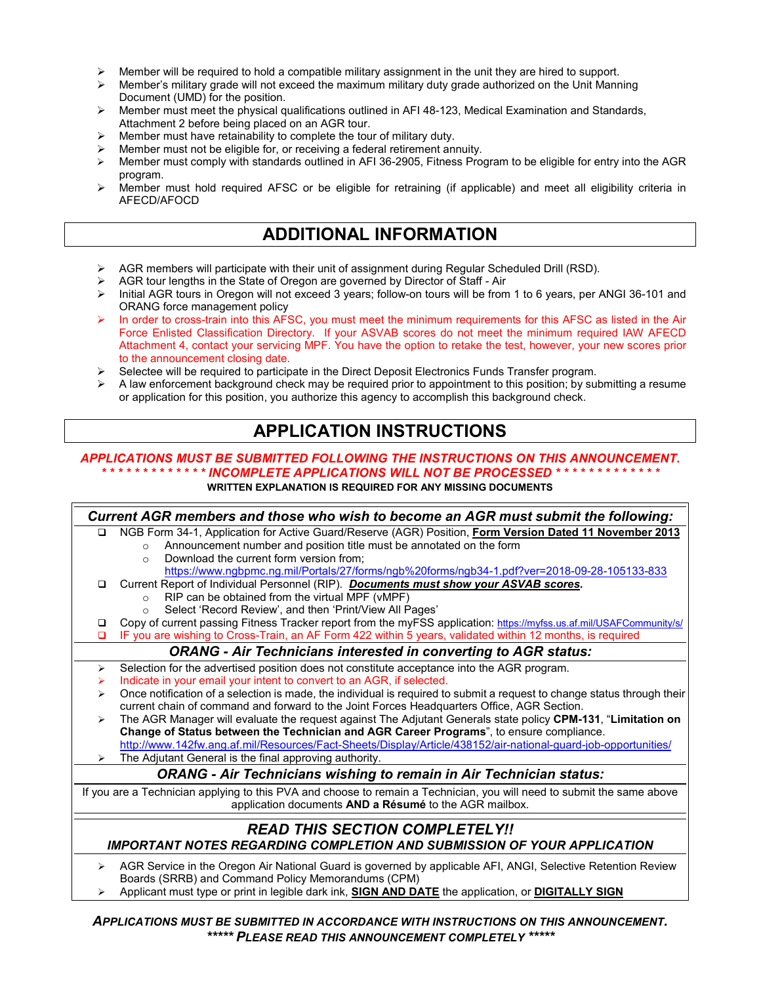- $\triangleright$  Member will be required to hold a compatible military assignment in the unit they are hired to support.
- $\triangleright$  Member's military grade will not exceed the maximum military duty grade authorized on the Unit Manning Document (UMD) for the position.
- $\triangleright$  Member must meet the physical qualifications outlined in AFI 48-123, Medical Examination and Standards, Attachment 2 before being placed on an AGR tour.
- Member must have retainability to complete the tour of military duty.
- Member must not be eligible for, or receiving a federal retirement annuity.<br>
Member must comply with standards outlined in AFI 36-2905. Fitness Proc
- Member must comply with standards outlined in AFI 36-2905, Fitness Program to be eligible for entry into the AGR program.
- Member must hold required AFSC or be eligible for retraining (if applicable) and meet all eligibility criteria in AFECD/AFOCD

#### **ADDITIONAL INFORMATION**

- $\triangleright$  AGR members will participate with their unit of assignment during Regular Scheduled Drill (RSD).
- AGR tour lengths in the State of Oregon are governed by Director of Staff Air
- ▶ Initial AGR tours in Oregon will not exceed 3 years; follow-on tours will be from 1 to 6 years, per ANGI 36-101 and ORANG force management policy
- In order to cross-train into this AFSC, you must meet the minimum requirements for this AFSC as listed in the Air Force Enlisted Classification Directory. If your ASVAB scores do not meet the minimum required IAW AFECD Attachment 4, contact your servicing MPF. You have the option to retake the test, however, your new scores prior to the announcement closing date.
- Selectee will be required to participate in the Direct Deposit Electronics Funds Transfer program.
- A law enforcement background check may be required prior to appointment to this position; by submitting a resume or application for this position, you authorize this agency to accomplish this background check.

## **APPLICATION INSTRUCTIONS**

#### *APPLICATIONS MUST BE SUBMITTED FOLLOWING THE INSTRUCTIONS ON THIS ANNOUNCEMENT. \* \* \* \* \* \* \* \* \* \* \* \* \* INCOMPLETE APPLICATIONS WILL NOT BE PROCESSED \* \* \* \* \* \* \* \* \* \* \* \* \**

**WRITTEN EXPLANATION IS REQUIRED FOR ANY MISSING DOCUMENTS**

| Current AGR members and those who wish to become an AGR must submit the following:                                     |                                                                                                                         |  |
|------------------------------------------------------------------------------------------------------------------------|-------------------------------------------------------------------------------------------------------------------------|--|
| $\Box$                                                                                                                 | NGB Form 34-1, Application for Active Guard/Reserve (AGR) Position, Form Version Dated 11 November 2013                 |  |
|                                                                                                                        | Announcement number and position title must be annotated on the form<br>$\circ$                                         |  |
|                                                                                                                        | Download the current form version from;<br>$\Omega$                                                                     |  |
|                                                                                                                        | https://www.ngbpmc.ng.mil/Portals/27/forms/ngb%20forms/ngb34-1.pdf?ver=2018-09-28-105133-833                            |  |
| $\Box$                                                                                                                 | Current Report of Individual Personnel (RIP). Documents must show your ASVAB scores.                                    |  |
|                                                                                                                        | RIP can be obtained from the virtual MPF (vMPF)                                                                         |  |
|                                                                                                                        | Select 'Record Review', and then 'Print/View All Pages'                                                                 |  |
| □                                                                                                                      | Copy of current passing Fitness Tracker report from the myFSS application: https://myfss.us.af.mil/USAFCommunity/s/     |  |
| □                                                                                                                      | IF you are wishing to Cross-Train, an AF Form 422 within 5 years, validated within 12 months, is required               |  |
| <b>ORANG - Air Technicians interested in converting to AGR status:</b>                                                 |                                                                                                                         |  |
| ⋗                                                                                                                      | Selection for the advertised position does not constitute acceptance into the AGR program.                              |  |
| ➤                                                                                                                      | Indicate in your email your intent to convert to an AGR, if selected.                                                   |  |
| ⋗                                                                                                                      | Once notification of a selection is made, the individual is required to submit a request to change status through their |  |
|                                                                                                                        | current chain of command and forward to the Joint Forces Headquarters Office, AGR Section.                              |  |
| ➤                                                                                                                      | The AGR Manager will evaluate the request against The Adjutant Generals state policy CPM-131, "Limitation on            |  |
|                                                                                                                        | Change of Status between the Technician and AGR Career Programs", to ensure compliance.                                 |  |
|                                                                                                                        | http://www.142fw.ang.af.mil/Resources/Fact-Sheets/Display/Article/438152/air-national-guard-job-opportunities/          |  |
| $\blacktriangleright$                                                                                                  | The Adjutant General is the final approving authority.                                                                  |  |
| <b>ORANG - Air Technicians wishing to remain in Air Technician status:</b>                                             |                                                                                                                         |  |
| If you are a Technician applying to this PVA and choose to remain a Technician, you will need to submit the same above |                                                                                                                         |  |
|                                                                                                                        | application documents AND a Résumé to the AGR mailbox.                                                                  |  |
|                                                                                                                        |                                                                                                                         |  |
| <b>READ THIS SECTION COMPLETELY!!</b>                                                                                  |                                                                                                                         |  |
| <b>IMPORTANT NOTES REGARDING COMPLETION AND SUBMISSION OF YOUR APPLICATION</b>                                         |                                                                                                                         |  |
| ➤                                                                                                                      | AGR Service in the Oregon Air National Guard is governed by applicable AFI, ANGI, Selective Retention Review            |  |
|                                                                                                                        | Boards (SRRB) and Command Policy Memorandums (CPM)                                                                      |  |
|                                                                                                                        | Applicant must type or print in legible dark ink. SIGN AND DATE the application or DIGITALLY SIGN                       |  |

Applicant must type or print in legible dark ink, **SIGN AND DATE** the application, or **DIGITALLY SIGN**

*APPLICATIONS MUST BE SUBMITTED IN ACCORDANCE WITH INSTRUCTIONS ON THIS ANNOUNCEMENT. \*\*\*\*\* PLEASE READ THIS ANNOUNCEMENT COMPLETELY \*\*\*\*\**